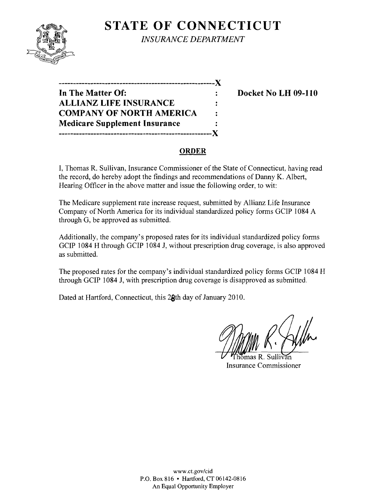

**STATE OF CONNECTICUT** *INSURANCE DEPARTMENT* 

**------------------------------------------------------**)( **In The Matter Of: Docket No LH 09-110 ALLIANZ LIFE INSURANCE**   $\ddot{\cdot}$ **COMPANY OF NORTH AMERICA**   $\ddot{\cdot}$ **Medicare Supplement Insurance**   $\ddot{\cdot}$ **-----------------------------------------------------)(** 

## **ORDER**

I, Thomas R. Sullivan, Insurance Commissioner of the State of Connecticut, having read the record, do hereby adopt the findings and recommendations of Danny K. Albert, Hearing Officer in the above matter and issue the following order, to wit:

The Medicare supplement rate increase request, submitted by Allianz Life Insurance Company of North America for its individual standardized policy forms GCIP 1084 A through G, be approved as submitted.

Additionally, the company's proposed rates for its individual standardized policy forms GCIP 1084 H through GCIP 1084 J, without prescription drug coverage, is also approved as submitted.

The proposed rates for the company's individual standardized policy forms GCIP 1084 H through GCIP 1084 J, with prescription drug coverage is disapproved as submitted.

Dated at Hartford, Connecticut, this 28th day of January 2010.

mas R. Sulli Insurance Commissioner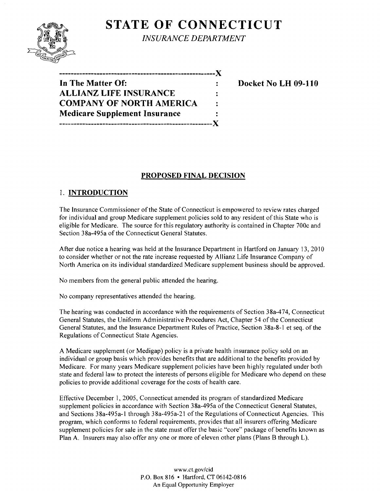# **STATE OF CONNECTICUT**



*INSURANCE DEPARTMENT* 

| ----------------------------------X  |   |
|--------------------------------------|---|
| In The Matter Of:                    |   |
| <b>ALLIANZ LIFE INSURANCE</b>        | : |
| <b>COMPANY OF NORTH AMERICA</b>      | ÷ |
| <b>Medicare Supplement Insurance</b> |   |
| -----------------------------        |   |

**Docket No LH 09-110** 

## **PROPOSED FINAL DECISION**

## 1. **INTRODUCTION**

The Insurance Commissioner of the State of Connecticut is empowered to review rates charged for individual and group Medicare supplement policies sold to any resident of this State who is eligible for Medicare. The source for this regulatory authority is contained in Chapter 700c and Section 38a-495a of the Connecticut General Statutes.

After due notice a hearing was held at the Insurance Department in Hartford on January 13, 2010 to consider whether or not the rate increase requested by Allianz Life Insurance Company of North America on its individual standardized Medicare supplement business should be approved.

No members from the general public attended the hearing.

No company representatives attended the hearing.

The hearing was conducted in accordance with the requirements of Section 38a-474, Connecticut General Statutes, the Uniform Administrative Procedures Act, Chapter 54 ofthe Connecticut General Statutes, and the Insurance Department Rules of Practice, Section 38a-8-1 et seq. of the Regulations of Connecticut State Agencies.

A Medicare supplement (or Medigap) policy is a private health insurance policy sold on an individual or group basis which provides benefits that are additional to the benefits provided by Medicare. For many years Medicare supplement policies have been highly regulated under both state and federal law to protect the interests of persons eligible for Medicare who depend on these policies to provide additional coverage for the costs of health care.

Effective December 1, 2005, Connecticut amended its program of standardized Medicare supplement policies in accordance with Section 38a-495a of the Connecticut General Statutes, and Sections 38a-495a-l through 38a-495a-21 of the Regulations of Connecticut Agencies. This program, which conforms to federal requirements, provides that all insurers offering Medicare supplement policies for sale in the state must offer the basic "core" package of benefits known as Plan A. Insurers may also offer anyone or more of eleven other plans (Plans B through L).

> www.ct.gov/cid P.O. Box 816 • Hartford, CT 06142-0816 An Equal Opportunity Employer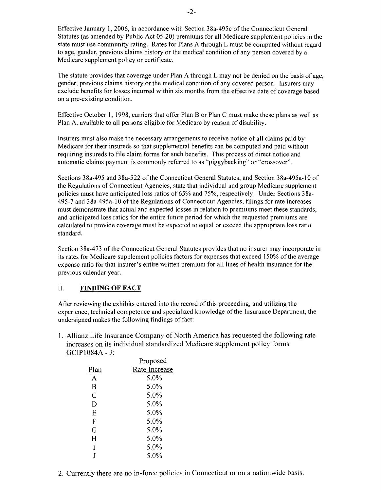Effective January 1,2006, in accordance with Section 38a-495c ofthe Connecticut General Statutes (as amended by Public Act 05-20) premiums for all Medicare supplement policies in the state must use community rating. Rates for Plans A through L must be computed without regard to age, gender, previous claims history or the medical condition of any person covered by a Medicare supplement policy or certificate.

The statute provides that coverage under Plan A through L may not be denied on the basis of age, gender, previous claims history or the medical condition of any covered person. Insurers may exclude benefits for losses incurred within six months from the effective date of coverage based on a pre-existing condition.

Effective October I, 1998, carriers that offer Plan B or Plan C must make these plans as well as Plan A, available to all persons eligible for Medicare by reason of disability.

Insurers must also make the necessary arrangements to receive notice of all claims paid by Medicare for their insureds so that supplemental benefits can be computed and paid without requiring insureds to file claim forms for such benefits. This process of direct notice and automatic claims payment is commonly referred to as "piggybacking" or "crossover".

Sections 38a-495 and 38a-522 of the Connecticut General Statutes, and Section 38a-495a-10 of the Regulations of Connecticut Agencies, state that individual and group Medicare supplement policies must have anticipated loss ratios of 65% and 75%, respectively. Under Sections 38a-495-7 and 38a-495a-l0 of the Regulations of Connecticut Agencies, filings for rate increases must demonstrate that actual and expected losses in relation to premiums meet these standards, and anticipated loss ratios for the entire future period for which the requested premiums are calculated to provide coverage must be expected to equal or exceed the appropriate loss ratio standard.

Section 38a-473 of the Connecticut General Statutes provides that no insurer may incorporate in its rates for Medicare supplement policies factors for expenses that exceed 150% of the average expense ratio for that insurer's entire written premium for all lines of health insurance for the previous calendar year.

#### II. **FINDING OF FACT**

After reviewing the exhibits entered into the record ofthis proceeding, and utilizing the experience, technical competence and specialized knowledge ofthe Insurance Department, the undersigned makes the following findings of fact:

1. Allianz Life Insurance Company of North America has requested the following rate increases on its individual standardized Medicare supplement policy forms GCIPI084A - J:

|                | Proposed      |  |
|----------------|---------------|--|
| Plan           | Rate Increase |  |
| А              | 5.0%          |  |
| B              | 5.0%          |  |
| $\overline{C}$ | 5.0%          |  |
| D              | 5.0%          |  |
| Ε              | 5.0%          |  |
| F              | 5.0%          |  |
| G              | 5.0%          |  |
| H              | 5.0%          |  |
| I              | 5.0%          |  |
|                | 5.0%          |  |
|                |               |  |

2. Currently there are no in-force policies in Connecticut or on a nationwide basis.